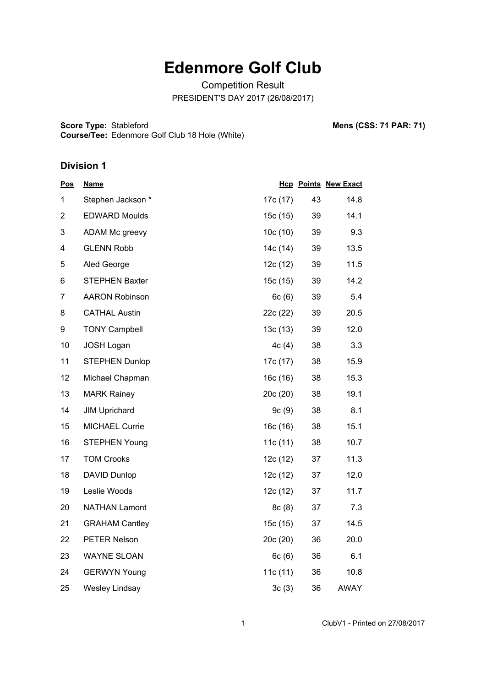# **Edenmore Golf Club**

Competition Result PRESIDENT'S DAY 2017 (26/08/2017)

**Score Type: Course/Tee:** Stableford **Mens (CSS: 71 PAR: 71)** Edenmore Golf Club 18 Hole (White)

#### **Division 1**

| <u>Pos</u>     | <b>Name</b>           |          |    | <b>Hcp Points New Exact</b> |
|----------------|-----------------------|----------|----|-----------------------------|
| 1              | Stephen Jackson*      | 17c (17) | 43 | 14.8                        |
| $\overline{2}$ | <b>EDWARD Moulds</b>  | 15c(15)  | 39 | 14.1                        |
| 3              | ADAM Mc greevy        | 10c(10)  | 39 | 9.3                         |
| 4              | <b>GLENN Robb</b>     | 14c (14) | 39 | 13.5                        |
| 5              | Aled George           | 12c(12)  | 39 | 11.5                        |
| 6              | <b>STEPHEN Baxter</b> | 15c(15)  | 39 | 14.2                        |
| 7              | <b>AARON Robinson</b> | 6c(6)    | 39 | 5.4                         |
| 8              | <b>CATHAL Austin</b>  | 22c (22) | 39 | 20.5                        |
| 9              | <b>TONY Campbell</b>  | 13c(13)  | 39 | 12.0                        |
| 10             | JOSH Logan            | 4c(4)    | 38 | 3.3                         |
| 11             | <b>STEPHEN Dunlop</b> | 17c (17) | 38 | 15.9                        |
| 12             | Michael Chapman       | 16c(16)  | 38 | 15.3                        |
| 13             | <b>MARK Rainey</b>    | 20c(20)  | 38 | 19.1                        |
| 14             | <b>JIM Uprichard</b>  | 9c(9)    | 38 | 8.1                         |
| 15             | <b>MICHAEL Currie</b> | 16c(16)  | 38 | 15.1                        |
| 16             | <b>STEPHEN Young</b>  | 11c(11)  | 38 | 10.7                        |
| 17             | <b>TOM Crooks</b>     | 12c(12)  | 37 | 11.3                        |
| 18             | DAVID Dunlop          | 12c(12)  | 37 | 12.0                        |
| 19             | Leslie Woods          | 12c (12) | 37 | 11.7                        |
| 20             | <b>NATHAN Lamont</b>  | 8c(8)    | 37 | 7.3                         |
| 21             | <b>GRAHAM Cantley</b> | 15c (15) | 37 | 14.5                        |
| 22             | PETER Nelson          | 20c(20)  | 36 | 20.0                        |
| 23             | <b>WAYNE SLOAN</b>    | 6c(6)    | 36 | 6.1                         |
| 24             | <b>GERWYN Young</b>   | 11c(11)  | 36 | 10.8                        |
| 25             | <b>Wesley Lindsay</b> | 3c(3)    | 36 | <b>AWAY</b>                 |

1 ClubV1 - Printed on 27/08/2017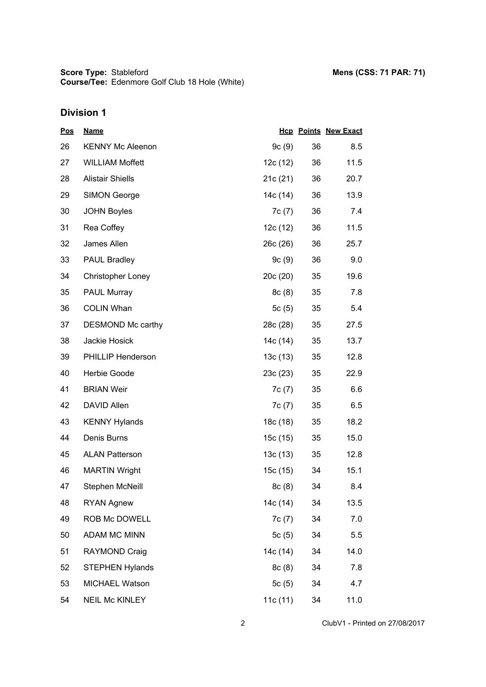**Score Type: Course/Tee:** Stableford **Mens (CSS: 71 PAR: 71)** Edenmore Golf Club 18 Hole (White)

| <u>Pos</u> | <b>Name</b>              |          |    | <b>Hcp Points New Exact</b> |
|------------|--------------------------|----------|----|-----------------------------|
| 26         | <b>KENNY Mc Aleenon</b>  | 9c(9)    | 36 | 8.5                         |
| 27         | <b>WILLIAM Moffett</b>   | 12c (12) | 36 | 11.5                        |
| 28         | <b>Alistair Shiells</b>  | 21c(21)  | 36 | 20.7                        |
| 29         | <b>SIMON George</b>      | 14c (14) | 36 | 13.9                        |
| 30         | <b>JOHN Boyles</b>       | 7c(7)    | 36 | 7.4                         |
| 31         | Rea Coffey               | 12c (12) | 36 | 11.5                        |
| 32         | James Allen              | 26c (26) | 36 | 25.7                        |
| 33         | <b>PAUL Bradley</b>      | 9c(9)    | 36 | 9.0                         |
| 34         | <b>Christopher Loney</b> | 20c(20)  | 35 | 19.6                        |
| 35         | PAUL Murray              | 8c(8)    | 35 | 7.8                         |
| 36         | <b>COLIN Whan</b>        | 5c(5)    | 35 | 5.4                         |
| 37         | DESMOND Mc carthy        | 28c (28) | 35 | 27.5                        |
| 38         | Jackie Hosick            | 14c (14) | 35 | 13.7                        |
| 39         | PHILLIP Henderson        | 13c(13)  | 35 | 12.8                        |
| 40         | Herbie Goode             | 23c(23)  | 35 | 22.9                        |
| 41         | <b>BRIAN Weir</b>        | 7c(7)    | 35 | 6.6                         |
| 42         | <b>DAVID Allen</b>       | 7c (7)   | 35 | 6.5                         |
| 43         | <b>KENNY Hylands</b>     | 18c (18) | 35 | 18.2                        |
| 44         | Denis Burns              | 15c(15)  | 35 | 15.0                        |
| 45         | <b>ALAN Patterson</b>    | 13c(13)  | 35 | 12.8                        |
| 46         | <b>MARTIN Wright</b>     | 15c (15) | 34 | 15.1                        |
| 47         | Stephen McNeill          | 8c(8)    | 34 | 8.4                         |
| 48         | <b>RYAN Agnew</b>        | 14c (14) | 34 | 13.5                        |
| 49         | ROB Mc DOWELL            | 7c(7)    | 34 | 7.0                         |
| 50         | <b>ADAM MC MINN</b>      | 5c(5)    | 34 | 5.5                         |
| 51         | RAYMOND Craig            | 14c (14) | 34 | 14.0                        |
| 52         | <b>STEPHEN Hylands</b>   | 8c(8)    | 34 | 7.8                         |
| 53         | MICHAEL Watson           | 5c(5)    | 34 | 4.7                         |
| 54         | <b>NEIL Mc KINLEY</b>    | 11c(11)  | 34 | 11.0                        |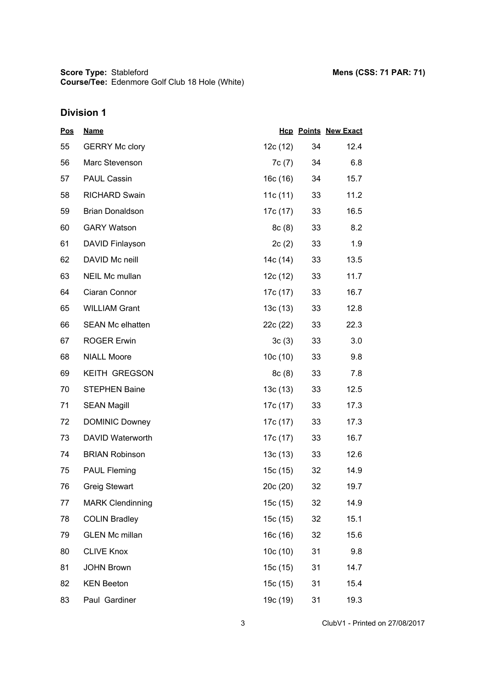| <u>Pos</u> | <b>Name</b>             |            |    | <b>Hcp Points New Exact</b> |
|------------|-------------------------|------------|----|-----------------------------|
| 55         | <b>GERRY Mc clory</b>   | 12c(12)    | 34 | 12.4                        |
| 56         | Marc Stevenson          | 7c (7)     | 34 | 6.8                         |
| 57         | <b>PAUL Cassin</b>      | 16c (16)   | 34 | 15.7                        |
| 58         | <b>RICHARD Swain</b>    | 11c $(11)$ | 33 | 11.2                        |
| 59         | <b>Brian Donaldson</b>  | 17c (17)   | 33 | 16.5                        |
| 60         | <b>GARY Watson</b>      | 8c(8)      | 33 | 8.2                         |
| 61         | DAVID Finlayson         | 2c(2)      | 33 | 1.9                         |
| 62         | DAVID Mc neill          | 14c (14)   | 33 | 13.5                        |
| 63         | NEIL Mc mullan          | 12c (12)   | 33 | 11.7                        |
| 64         | Ciaran Connor           | 17c (17)   | 33 | 16.7                        |
| 65         | <b>WILLIAM Grant</b>    | 13c(13)    | 33 | 12.8                        |
| 66         | <b>SEAN Mc elhatten</b> | 22c (22)   | 33 | 22.3                        |
| 67         | <b>ROGER Erwin</b>      | 3c(3)      | 33 | 3.0                         |
| 68         | <b>NIALL Moore</b>      | 10c(10)    | 33 | 9.8                         |
| 69         | <b>KEITH GREGSON</b>    | 8c(8)      | 33 | 7.8                         |
| 70         | <b>STEPHEN Baine</b>    | 13c(13)    | 33 | 12.5                        |
| 71         | <b>SEAN Magill</b>      | 17c (17)   | 33 | 17.3                        |
| 72         | <b>DOMINIC Downey</b>   | 17c (17)   | 33 | 17.3                        |
| 73         | DAVID Waterworth        | 17c (17)   | 33 | 16.7                        |
| 74         | <b>BRIAN Robinson</b>   | 13c(13)    | 33 | 12.6                        |
| 75         | <b>PAUL Fleming</b>     | 15c(15)    | 32 | 14.9                        |
| 76         | <b>Greig Stewart</b>    | 20c (20)   | 32 | 19.7                        |
| 77         | <b>MARK Clendinning</b> | 15c (15)   | 32 | 14.9                        |
| 78         | <b>COLIN Bradley</b>    | 15c(15)    | 32 | 15.1                        |
| 79         | <b>GLEN Mc millan</b>   | 16c(16)    | 32 | 15.6                        |
| 80         | <b>CLIVE Knox</b>       | 10c(10)    | 31 | 9.8                         |
| 81         | <b>JOHN Brown</b>       | 15c (15)   | 31 | 14.7                        |
| 82         | <b>KEN Beeton</b>       | 15c (15)   | 31 | 15.4                        |
| 83         | Paul Gardiner           | 19c (19)   | 31 | 19.3                        |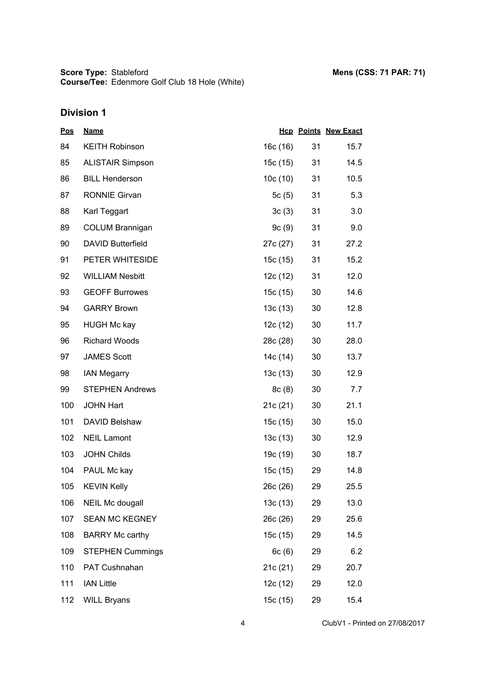| <u>Pos</u> | <b>Name</b>              |          |    | <b>Hcp Points New Exact</b> |
|------------|--------------------------|----------|----|-----------------------------|
| 84         | <b>KEITH Robinson</b>    | 16c(16)  | 31 | 15.7                        |
| 85         | <b>ALISTAIR Simpson</b>  | 15c (15) | 31 | 14.5                        |
| 86         | <b>BILL Henderson</b>    | 10c(10)  | 31 | 10.5                        |
| 87         | <b>RONNIE Girvan</b>     | 5c(5)    | 31 | 5.3                         |
| 88         | Karl Teggart             | 3c(3)    | 31 | 3.0                         |
| 89         | <b>COLUM Brannigan</b>   | 9c(9)    | 31 | 9.0                         |
| 90         | <b>DAVID Butterfield</b> | 27c (27) | 31 | 27.2                        |
| 91         | PETER WHITESIDE          | 15c (15) | 31 | 15.2                        |
| 92         | <b>WILLIAM Nesbitt</b>   | 12c (12) | 31 | 12.0                        |
| 93         | <b>GEOFF Burrowes</b>    | 15c(15)  | 30 | 14.6                        |
| 94         | <b>GARRY Brown</b>       | 13c(13)  | 30 | 12.8                        |
| 95         | <b>HUGH Mc kay</b>       | 12c (12) | 30 | 11.7                        |
| 96         | <b>Richard Woods</b>     | 28c (28) | 30 | 28.0                        |
| 97         | <b>JAMES Scott</b>       | 14c (14) | 30 | 13.7                        |
| 98         | <b>IAN Megarry</b>       | 13c(13)  | 30 | 12.9                        |
| 99         | <b>STEPHEN Andrews</b>   | 8c(8)    | 30 | 7.7                         |
| 100        | <b>JOHN Hart</b>         | 21c(21)  | 30 | 21.1                        |
| 101        | DAVID Belshaw            | 15c (15) | 30 | 15.0                        |
| 102        | <b>NEIL Lamont</b>       | 13c(13)  | 30 | 12.9                        |
| 103        | <b>JOHN Childs</b>       | 19c (19) | 30 | 18.7                        |
| 104        | PAUL Mc kay              | 15c(15)  | 29 | 14.8                        |
| 105        | <b>KEVIN Kelly</b>       | 26c (26) | 29 | 25.5                        |
| 106        | <b>NEIL Mc dougall</b>   | 13c(13)  | 29 | 13.0                        |
| 107        | <b>SEAN MC KEGNEY</b>    | 26c (26) | 29 | 25.6                        |
| 108        | <b>BARRY Mc carthy</b>   | 15c (15) | 29 | 14.5                        |
| 109        | <b>STEPHEN Cummings</b>  | 6c(6)    | 29 | 6.2                         |
| 110        | PAT Cushnahan            | 21c (21) | 29 | 20.7                        |
| 111        | <b>IAN Little</b>        | 12c (12) | 29 | 12.0                        |
| 112        | <b>WILL Bryans</b>       | 15c (15) | 29 | 15.4                        |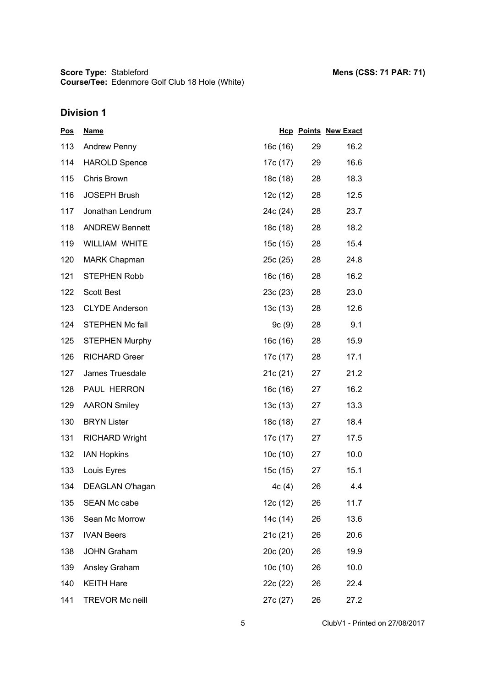| <u>Pos</u> | <b>Name</b>            |          |    | <b>Hcp Points New Exact</b> |
|------------|------------------------|----------|----|-----------------------------|
| 113        | <b>Andrew Penny</b>    | 16c (16) | 29 | 16.2                        |
| 114        | <b>HAROLD Spence</b>   | 17c (17) | 29 | 16.6                        |
| 115        | Chris Brown            | 18c (18) | 28 | 18.3                        |
| 116        | <b>JOSEPH Brush</b>    | 12c (12) | 28 | 12.5                        |
| 117        | Jonathan Lendrum       | 24c (24) | 28 | 23.7                        |
| 118        | <b>ANDREW Bennett</b>  | 18c (18) | 28 | 18.2                        |
| 119        | <b>WILLIAM WHITE</b>   | 15c (15) | 28 | 15.4                        |
| 120        | <b>MARK Chapman</b>    | 25c (25) | 28 | 24.8                        |
| 121        | <b>STEPHEN Robb</b>    | 16c (16) | 28 | 16.2                        |
| 122        | <b>Scott Best</b>      | 23c(23)  | 28 | 23.0                        |
| 123        | <b>CLYDE Anderson</b>  | 13c(13)  | 28 | 12.6                        |
| 124        | <b>STEPHEN Mc fall</b> | 9c(9)    | 28 | 9.1                         |
| 125        | <b>STEPHEN Murphy</b>  | 16c (16) | 28 | 15.9                        |
| 126        | <b>RICHARD Greer</b>   | 17c (17) | 28 | 17.1                        |
| 127        | James Truesdale        | 21c(21)  | 27 | 21.2                        |
| 128        | PAUL HERRON            | 16c (16) | 27 | 16.2                        |
| 129        | <b>AARON Smiley</b>    | 13c(13)  | 27 | 13.3                        |
| 130        | <b>BRYN Lister</b>     | 18c (18) | 27 | 18.4                        |
| 131        | <b>RICHARD Wright</b>  | 17c (17) | 27 | 17.5                        |
| 132        | <b>IAN Hopkins</b>     | 10c(10)  | 27 | 10.0                        |
| 133        | Louis Eyres            | 15c (15) | 27 | 15.1                        |
| 134        | DEAGLAN O'hagan        | 4c(4)    | 26 | 4.4                         |
| 135        | <b>SEAN Mc cabe</b>    | 12c (12) | 26 | 11.7                        |
| 136        | Sean Mc Morrow         | 14c (14) | 26 | 13.6                        |
| 137        | <b>IVAN Beers</b>      | 21c(21)  | 26 | 20.6                        |
| 138        | <b>JOHN Graham</b>     | 20c (20) | 26 | 19.9                        |
| 139        | Ansley Graham          | 10c(10)  | 26 | 10.0                        |
| 140        | <b>KEITH Hare</b>      | 22c (22) | 26 | 22.4                        |
| 141        | <b>TREVOR Mc neill</b> | 27c (27) | 26 | 27.2                        |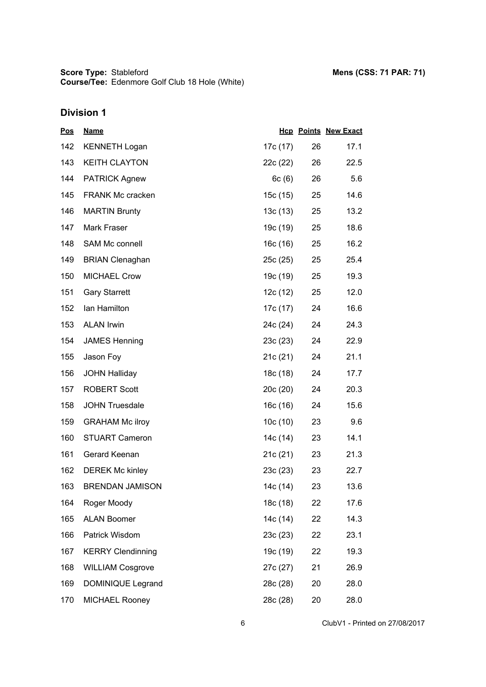**Score Type: Course/Tee:** Stableford **Mens (CSS: 71 PAR: 71)** Edenmore Golf Club 18 Hole (White)

| <u>Pos</u> | <b>Name</b>              |          |    | <b>Hcp Points New Exact</b> |
|------------|--------------------------|----------|----|-----------------------------|
| 142        | <b>KENNETH Logan</b>     | 17c (17) | 26 | 17.1                        |
| 143        | <b>KEITH CLAYTON</b>     | 22c (22) | 26 | 22.5                        |
| 144        | <b>PATRICK Agnew</b>     | 6c(6)    | 26 | 5.6                         |
| 145        | <b>FRANK Mc cracken</b>  | 15c (15) | 25 | 14.6                        |
| 146        | <b>MARTIN Brunty</b>     | 13c (13) | 25 | 13.2                        |
| 147        | Mark Fraser              | 19c (19) | 25 | 18.6                        |
| 148        | SAM Mc connell           | 16c (16) | 25 | 16.2                        |
| 149        | <b>BRIAN Clenaghan</b>   | 25c (25) | 25 | 25.4                        |
| 150        | <b>MICHAEL Crow</b>      | 19c (19) | 25 | 19.3                        |
| 151        | <b>Gary Starrett</b>     | 12c (12) | 25 | 12.0                        |
| 152        | Ian Hamilton             | 17c (17) | 24 | 16.6                        |
| 153        | <b>ALAN Irwin</b>        | 24c (24) | 24 | 24.3                        |
| 154        | <b>JAMES Henning</b>     | 23c(23)  | 24 | 22.9                        |
| 155        | Jason Foy                | 21c (21) | 24 | 21.1                        |
| 156        | <b>JOHN Halliday</b>     | 18c (18) | 24 | 17.7                        |
| 157        | <b>ROBERT Scott</b>      | 20c(20)  | 24 | 20.3                        |
| 158        | <b>JOHN Truesdale</b>    | 16c (16) | 24 | 15.6                        |
| 159        | <b>GRAHAM Mc ilroy</b>   | 10c(10)  | 23 | 9.6                         |
| 160        | <b>STUART Cameron</b>    | 14c (14) | 23 | 14.1                        |
| 161        | Gerard Keenan            | 21c(21)  | 23 | 21.3                        |
| 162        | <b>DEREK Mc kinley</b>   | 23c(23)  | 23 | 22.7                        |
| 163        | <b>BRENDAN JAMISON</b>   | 14c (14) | 23 | 13.6                        |
| 164        | Roger Moody              | 18c (18) | 22 | 17.6                        |
| 165        | <b>ALAN Boomer</b>       | 14c (14) | 22 | 14.3                        |
| 166        | Patrick Wisdom           | 23c(23)  | 22 | 23.1                        |
| 167        | <b>KERRY Clendinning</b> | 19c (19) | 22 | 19.3                        |
| 168        | <b>WILLIAM Cosgrove</b>  | 27c (27) | 21 | 26.9                        |
| 169        | DOMINIQUE Legrand        | 28c (28) | 20 | 28.0                        |
| 170        | MICHAEL Rooney           | 28c (28) | 20 | 28.0                        |